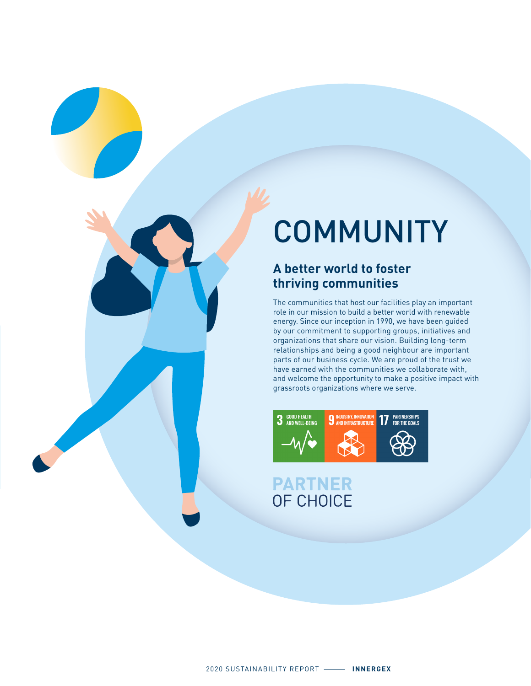# **COMMUNITY**

#### **A better world to foster thriving communities**

The communities that host our facilities play an important role in our mission to build a better world with renewable energy. Since our inception in 1990, we have been guided by our commitment to supporting groups, initiatives and organizations that share our vision. Building long-term relationships and being a good neighbour are important parts of our business cycle. We are proud of the trust we have earned with the communities we collaborate with, and welcome the opportunity to make a positive impact with grassroots organizations where we serve.



# **PARTNER**<br>OF CHOICE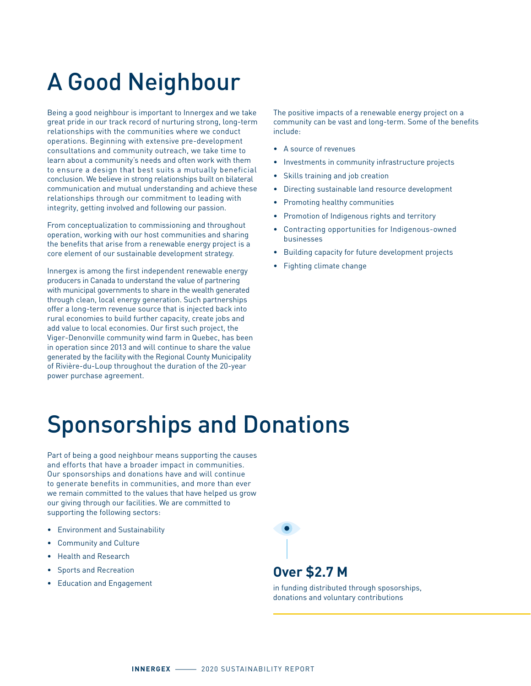## A Good Neighbour

Being a good neighbour is important to Innergex and we take great pride in our track record of nurturing strong, long-term relationships with the communities where we conduct operations. Beginning with extensive pre-development consultations and community outreach, we take time to learn about a community's needs and often work with them to ensure a design that best suits a mutually beneficial conclusion. We believe in strong relationships built on bilateral communication and mutual understanding and achieve these relationships through our commitment to leading with integrity, getting involved and following our passion.

From conceptualization to commissioning and throughout operation, working with our host communities and sharing the benefits that arise from a renewable energy project is a core element of our sustainable development strategy.

Innergex is among the first independent renewable energy producers in Canada to understand the value of partnering with municipal governments to share in the wealth generated through clean, local energy generation. Such partnerships offer a long-term revenue source that is injected back into rural economies to build further capacity, create jobs and add value to local economies. Our first such project, the Viger-Denonville community wind farm in Quebec, has been in operation since 2013 and will continue to share the value generated by the facility with the Regional County Municipality of Rivière-du-Loup throughout the duration of the 20-year power purchase agreement.

The positive impacts of a renewable energy project on a community can be vast and long-term. Some of the benefits include:

- A source of revenues
- Investments in community infrastructure projects
- Skills training and job creation
- Directing sustainable land resource development
- Promoting healthy communities
- Promotion of Indigenous rights and territory
- Contracting opportunities for Indigenous-owned businesses
- Building capacity for future development projects
- Fighting climate change

### Sponsorships and Donations

Part of being a good neighbour means supporting the causes and efforts that have a broader impact in communities. Our sponsorships and donations have and will continue to generate benefits in communities, and more than ever we remain committed to the values that have helped us grow our giving through our facilities. We are committed to supporting the following sectors:

- Environment and Sustainability
- Community and Culture
- Health and Research
- Sports and Recreation
- Education and Engagement



#### **Over \$2.7 M**

in funding distributed through sposorships, donations and voluntary contributions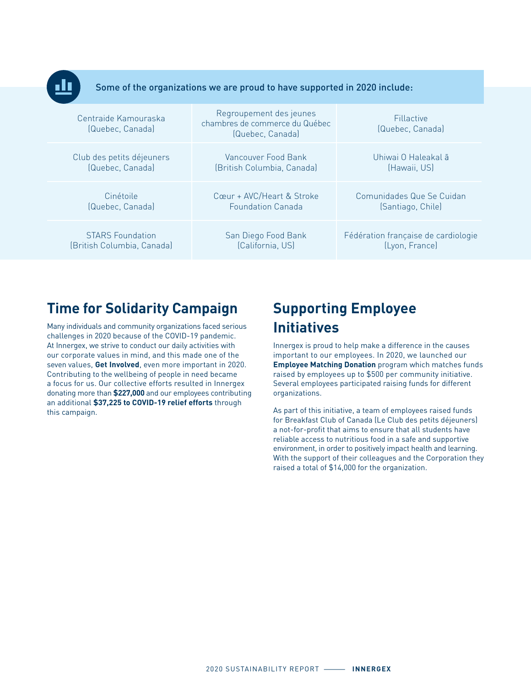

Some of the organizations we are proud to have supported in 2020 include:

| Centraide Kamouraska<br>(Quebec, Canada) | Regroupement des jeunes<br>chambres de commerce du Québec<br>(Quebec, Canada) | Fillactive<br>(Quebec, Canada)      |
|------------------------------------------|-------------------------------------------------------------------------------|-------------------------------------|
| Club des petits déjeuners                | Vancouver Food Bank                                                           | Uhiwai 0 Haleakal ā                 |
| (Quebec, Canada)                         | (British Columbia, Canada)                                                    | (Hawaii, US)                        |
| Cinétoile                                | Cœur + AVC/Heart & Stroke                                                     | Comunidades Que Se Cuidan           |
| (Quebec, Canada)                         | <b>Equndation Canada</b>                                                      | (Santiago, Chile)                   |
| <b>STARS Foundation</b>                  | San Diego Food Bank                                                           | Fédération française de cardiologie |
| (British Columbia, Canada)               | (California, US)                                                              | (Lyon, France)                      |

#### **Time for Solidarity Campaign**

Many individuals and community organizations faced serious challenges in 2020 because of the COVID-19 pandemic. At Innergex, we strive to conduct our daily activities with our corporate values in mind, and this made one of the seven values, **Get Involved**, even more important in 2020. Contributing to the wellbeing of people in need became a focus for us. Our collective efforts resulted in Innergex donating more than **\$227,000** and our employees contributing an additional **\$37,225 to COVID-19 relief efforts** through this campaign.

#### **Supporting Employee Initiatives**

Innergex is proud to help make a difference in the causes important to our employees. In 2020, we launched our **Employee Matching Donation** program which matches funds raised by employees up to \$500 per community initiative. Several employees participated raising funds for different organizations.

As part of this initiative, a team of employees raised funds for Breakfast Club of Canada (Le Club des petits déjeuners) a not-for-profit that aims to ensure that all students have reliable access to nutritious food in a safe and supportive environment, in order to positively impact health and learning. With the support of their colleagues and the Corporation they raised a total of \$14,000 for the organization.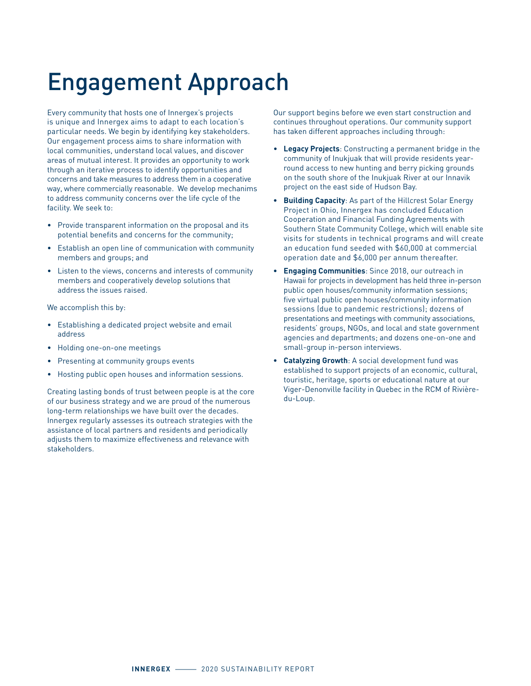### Engagement Approach

Every community that hosts one of Innergex's projects is unique and Innergex aims to adapt to each location's particular needs. We begin by identifying key stakeholders. Our engagement process aims to share information with local communities, understand local values, and discover areas of mutual interest. It provides an opportunity to work through an iterative process to identify opportunities and concerns and take measures to address them in a cooperative way, where commercially reasonable. We develop mechanims to address community concerns over the life cycle of the facility. We seek to:

- Provide transparent information on the proposal and its potential benefits and concerns for the community;
- Establish an open line of communication with community members and groups; and
- Listen to the views, concerns and interests of community members and cooperatively develop solutions that address the issues raised.

We accomplish this by:

- Establishing a dedicated project website and email address
- Holding one-on-one meetings
- Presenting at community groups events
- Hosting public open houses and information sessions.

Creating lasting bonds of trust between people is at the core of our business strategy and we are proud of the numerous long-term relationships we have built over the decades. Innergex regularly assesses its outreach strategies with the assistance of local partners and residents and periodically adjusts them to maximize effectiveness and relevance with stakeholders.

Our support begins before we even start construction and continues throughout operations. Our community support has taken different approaches including through:

- **Legacy Projects**: Constructing a permanent bridge in the community of Inukjuak that will provide residents yearround access to new hunting and berry picking grounds on the south shore of the Inukjuak River at our Innavik project on the east side of Hudson Bay.
- **• Building Capacity**: As part of the Hillcrest Solar Energy Project in Ohio, Innergex has concluded Education Cooperation and Financial Funding Agreements with Southern State Community College, which will enable site visits for students in technical programs and will create an education fund seeded with \$60,000 at commercial operation date and \$6,000 per annum thereafter.
- **• Engaging Communities**: Since 2018, our outreach in Hawaii for projects in development has held three in-person public open houses/community information sessions; five virtual public open houses/community information sessions (due to pandemic restrictions); dozens of presentations and meetings with community associations, residents' groups, NGOs, and local and state government agencies and departments; and dozens one-on-one and small-group in-person interviews.
- **• Catalyzing Growth**: A social development fund was established to support projects of an economic, cultural, touristic, heritage, sports or educational nature at our Viger-Denonville facility in Quebec in the RCM of Rivièredu-Loup.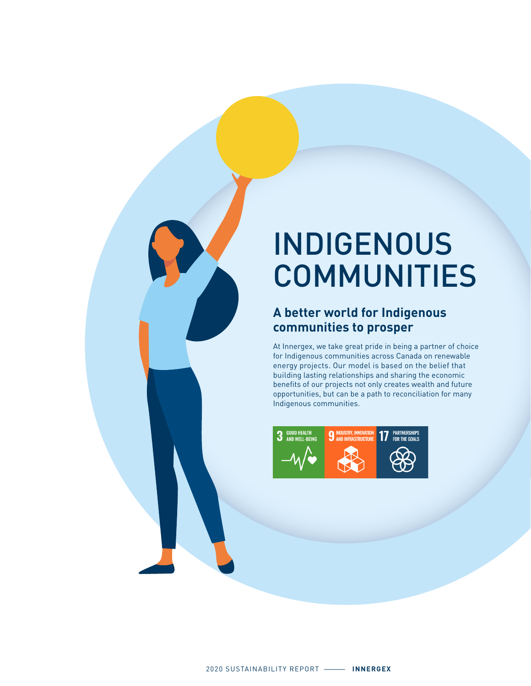## INDIGENOUS COMMUNITIES

#### **A better world for Indigenous communities to prosper**

At Innergex, we take great pride in being a partner of choice for Indigenous communities across Canada on renewable energy projects. Our model is based on the belief that building lasting relationships and sharing the economic benefits of our projects not only creates wealth and future opportunities, but can be a path to reconciliation for many Indigenous communities.